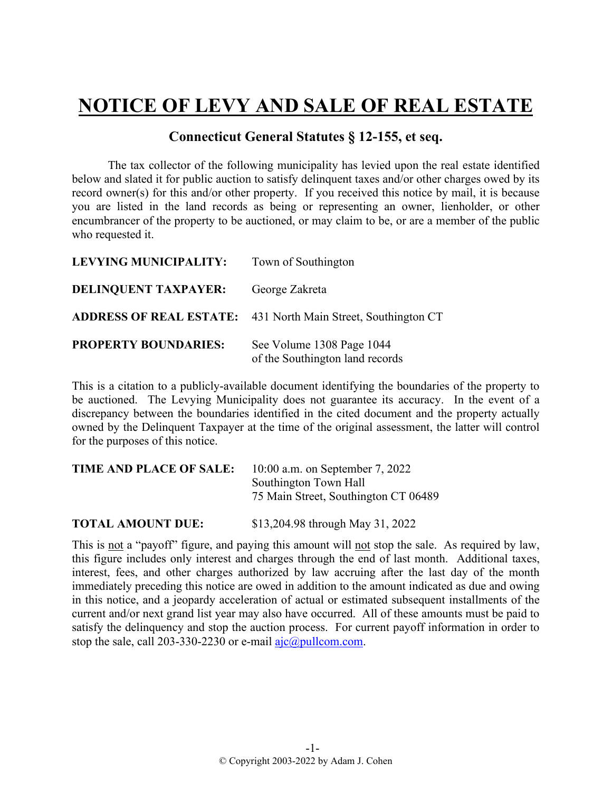## **NOTICE OF LEVY AND SALE OF REAL ESTATE**

## **Connecticut General Statutes § 12-155, et seq.**

The tax collector of the following municipality has levied upon the real estate identified below and slated it for public auction to satisfy delinquent taxes and/or other charges owed by its record owner(s) for this and/or other property. If you received this notice by mail, it is because you are listed in the land records as being or representing an owner, lienholder, or other encumbrancer of the property to be auctioned, or may claim to be, or are a member of the public who requested it.

| <b>LEVYING MUNICIPALITY:</b> | Town of Southington                                                  |
|------------------------------|----------------------------------------------------------------------|
| <b>DELINQUENT TAXPAYER:</b>  | George Zakreta                                                       |
|                              | <b>ADDRESS OF REAL ESTATE:</b> 431 North Main Street, Southington CT |
| <b>PROPERTY BOUNDARIES:</b>  | See Volume 1308 Page 1044<br>of the Southington land records         |

This is a citation to a publicly-available document identifying the boundaries of the property to be auctioned. The Levying Municipality does not guarantee its accuracy. In the event of a discrepancy between the boundaries identified in the cited document and the property actually owned by the Delinquent Taxpayer at the time of the original assessment, the latter will control for the purposes of this notice.

| <b>TIME AND PLACE OF SALE:</b> | 10:00 a.m. on September 7, 2022      |
|--------------------------------|--------------------------------------|
|                                | Southington Town Hall                |
|                                | 75 Main Street, Southington CT 06489 |
| <b>TOTAL AMOUNT DUE:</b>       | \$13,204.98 through May 31, 2022     |

This is not a "payoff" figure, and paying this amount will not stop the sale. As required by law, this figure includes only interest and charges through the end of last month. Additional taxes, interest, fees, and other charges authorized by law accruing after the last day of the month immediately preceding this notice are owed in addition to the amount indicated as due and owing in this notice, and a jeopardy acceleration of actual or estimated subsequent installments of the current and/or next grand list year may also have occurred. All of these amounts must be paid to satisfy the delinquency and stop the auction process. For current payoff information in order to stop the sale, call 203-330-2230 or e-mail  $a$ jc $@p$ ullcom.com.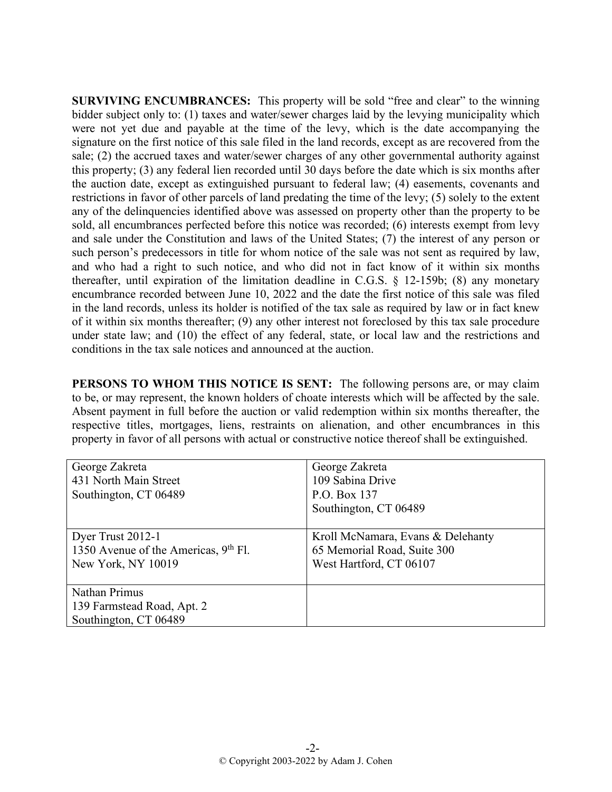**SURVIVING ENCUMBRANCES:** This property will be sold "free and clear" to the winning bidder subject only to: (1) taxes and water/sewer charges laid by the levying municipality which were not yet due and payable at the time of the levy, which is the date accompanying the signature on the first notice of this sale filed in the land records, except as are recovered from the sale; (2) the accrued taxes and water/sewer charges of any other governmental authority against this property; (3) any federal lien recorded until 30 days before the date which is six months after the auction date, except as extinguished pursuant to federal law; (4) easements, covenants and restrictions in favor of other parcels of land predating the time of the levy; (5) solely to the extent any of the delinquencies identified above was assessed on property other than the property to be sold, all encumbrances perfected before this notice was recorded; (6) interests exempt from levy and sale under the Constitution and laws of the United States; (7) the interest of any person or such person's predecessors in title for whom notice of the sale was not sent as required by law, and who had a right to such notice, and who did not in fact know of it within six months thereafter, until expiration of the limitation deadline in C.G.S. § 12-159b; (8) any monetary encumbrance recorded between June 10, 2022 and the date the first notice of this sale was filed in the land records, unless its holder is notified of the tax sale as required by law or in fact knew of it within six months thereafter; (9) any other interest not foreclosed by this tax sale procedure under state law; and (10) the effect of any federal, state, or local law and the restrictions and conditions in the tax sale notices and announced at the auction.

**PERSONS TO WHOM THIS NOTICE IS SENT:** The following persons are, or may claim to be, or may represent, the known holders of choate interests which will be affected by the sale. Absent payment in full before the auction or valid redemption within six months thereafter, the respective titles, mortgages, liens, restraints on alienation, and other encumbrances in this property in favor of all persons with actual or constructive notice thereof shall be extinguished.

| George Zakreta                         | George Zakreta                    |
|----------------------------------------|-----------------------------------|
| 431 North Main Street                  | 109 Sabina Drive                  |
| Southington, CT 06489                  | P.O. Box 137                      |
|                                        | Southington, CT 06489             |
| Dyer Trust 2012-1                      | Kroll McNamara, Evans & Delehanty |
| 1350 Avenue of the Americas, $9th$ Fl. | 65 Memorial Road, Suite 300       |
| New York, NY 10019                     | West Hartford, CT 06107           |
|                                        |                                   |
| Nathan Primus                          |                                   |
| 139 Farmstead Road, Apt. 2             |                                   |
| Southington, CT 06489                  |                                   |